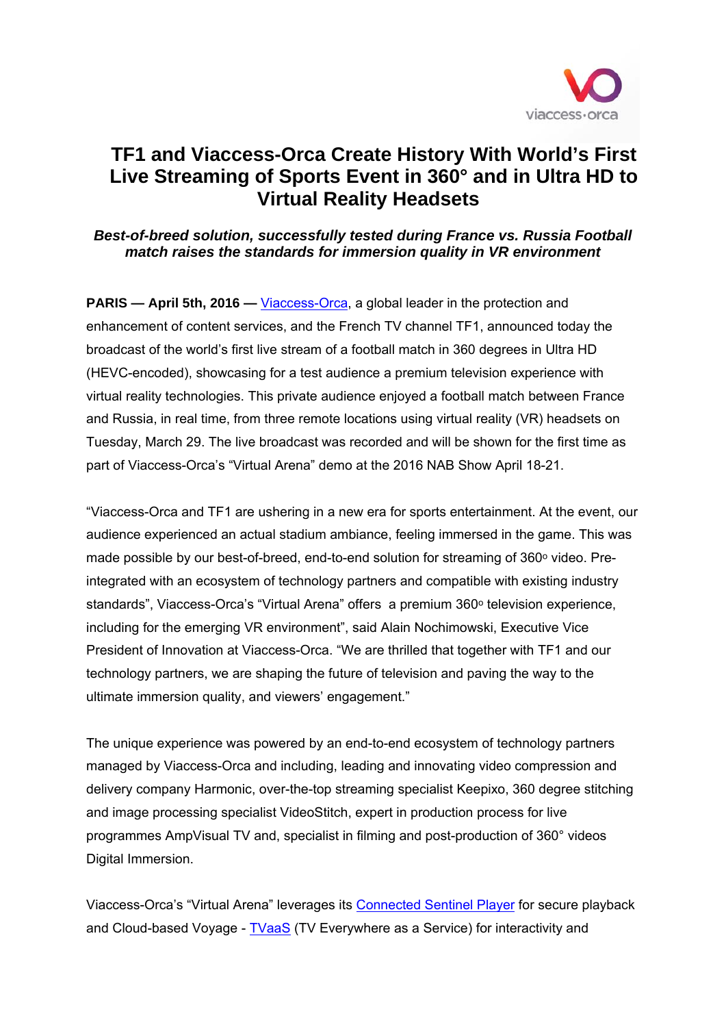

## **TF1 and Viaccess-Orca Create History With World's First Live Streaming of Sports Event in 360° and in Ultra HD to Virtual Reality Headsets**

## *Best-of-breed solution, successfully tested during France vs. Russia Football match raises the standards for immersion quality in VR environment*

**PARIS — April 5th, 2016 — Viaccess-Orca, a global leader in the protection and** enhancement of content services, and the French TV channel TF1, announced today the broadcast of the world's first live stream of a football match in 360 degrees in Ultra HD (HEVC-encoded), showcasing for a test audience a premium television experience with virtual reality technologies. This private audience enjoyed a football match between France and Russia, in real time, from three remote locations using virtual reality (VR) headsets on Tuesday, March 29. The live broadcast was recorded and will be shown for the first time as part of Viaccess-Orca's "Virtual Arena" demo at the 2016 NAB Show April 18-21.

"Viaccess-Orca and TF1 are ushering in a new era for sports entertainment. At the event, our audience experienced an actual stadium ambiance, feeling immersed in the game. This was made possible by our best-of-breed, end-to-end solution for streaming of  $360^{\circ}$  video. Preintegrated with an ecosystem of technology partners and compatible with existing industry standards", Viaccess-Orca's "Virtual Arena" offers a premium 360° television experience, including for the emerging VR environment", said Alain Nochimowski, Executive Vice President of Innovation at Viaccess-Orca. "We are thrilled that together with TF1 and our technology partners, we are shaping the future of television and paving the way to the ultimate immersion quality, and viewers' engagement."

The unique experience was powered by an end-to-end ecosystem of technology partners managed by Viaccess-Orca and including, leading and innovating video compression and delivery company Harmonic, over-the-top streaming specialist Keepixo, 360 degree stitching and image processing specialist VideoStitch, expert in production process for live programmes AmpVisual TV and, specialist in filming and post-production of 360° videos Digital Immersion.

Viaccess-Orca's "Virtual Arena" leverages its Connected Sentinel Player for secure playback and Cloud-based Voyage - TVaaS (TV Everywhere as a Service) for interactivity and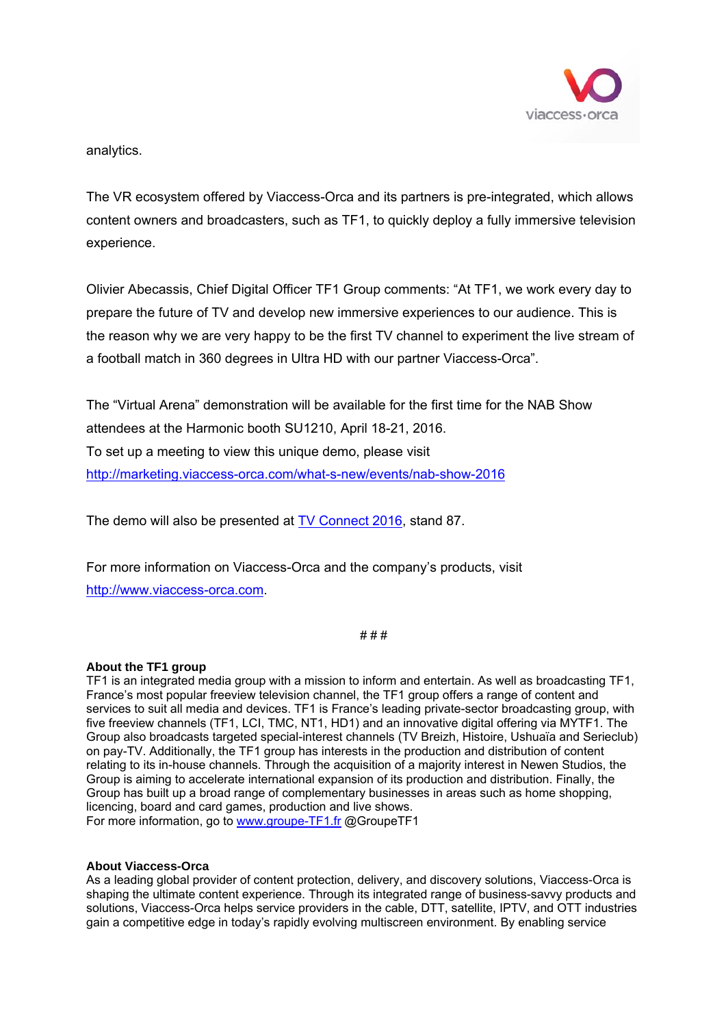

analytics.

The VR ecosystem offered by Viaccess-Orca and its partners is pre-integrated, which allows content owners and broadcasters, such as TF1, to quickly deploy a fully immersive television experience.

Olivier Abecassis, Chief Digital Officer TF1 Group comments: "At TF1, we work every day to prepare the future of TV and develop new immersive experiences to our audience. This is the reason why we are very happy to be the first TV channel to experiment the live stream of a football match in 360 degrees in Ultra HD with our partner Viaccess-Orca".

The "Virtual Arena" demonstration will be available for the first time for the NAB Show attendees at the Harmonic booth SU1210, April 18-21, 2016. To set up a meeting to view this unique demo, please visit http://marketing.viaccess-orca.com/what-s-new/events/nab-show-2016

The demo will also be presented at TV Connect 2016, stand 87.

For more information on Viaccess-Orca and the company's products, visit http://www.viaccess-orca.com.

# # #

## **About the TF1 group**

TF1 is an integrated media group with a mission to inform and entertain. As well as broadcasting TF1, France's most popular freeview television channel, the TF1 group offers a range of content and services to suit all media and devices. TF1 is France's leading private-sector broadcasting group, with five freeview channels (TF1, LCI, TMC, NT1, HD1) and an innovative digital offering via MYTF1. The Group also broadcasts targeted special-interest channels (TV Breizh, Histoire, Ushuaïa and Serieclub) on pay-TV. Additionally, the TF1 group has interests in the production and distribution of content relating to its in-house channels. Through the acquisition of a majority interest in Newen Studios, the Group is aiming to accelerate international expansion of its production and distribution. Finally, the Group has built up a broad range of complementary businesses in areas such as home shopping, licencing, board and card games, production and live shows. For more information, go to www.groupe-TF1.fr @GroupeTF1

## **About Viaccess-Orca**

As a leading global provider of content protection, delivery, and discovery solutions, Viaccess-Orca is shaping the ultimate content experience. Through its integrated range of business-savvy products and solutions, Viaccess-Orca helps service providers in the cable, DTT, satellite, IPTV, and OTT industries gain a competitive edge in today's rapidly evolving multiscreen environment. By enabling service